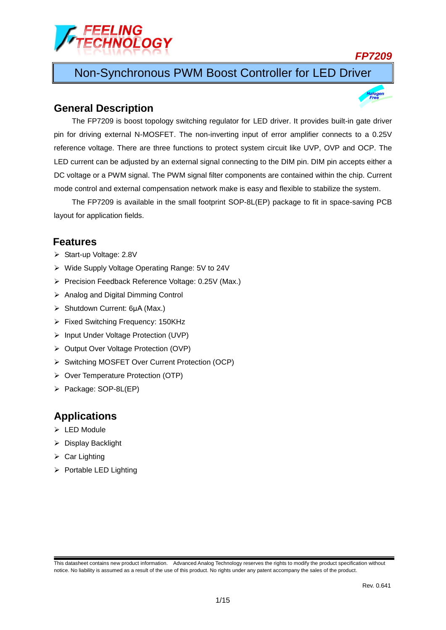

*FP7209*

# Non-Synchronous PWM Boost Controller for LED Driver

### **General Description**

The FP7209 is boost topology switching regulator for LED driver. It provides built-in gate driver pin for driving external N-MOSFET. The non-inverting input of error amplifier connects to a 0.25V reference voltage. There are three functions to protect system circuit like UVP, OVP and OCP. The LED current can be adjusted by an external signal connecting to the DIM pin. DIM pin accepts either a DC voltage or a PWM signal. The PWM signal filter components are contained within the chip. Current mode control and external compensation network make is easy and flexible to stabilize the system.

The FP7209 is available in the small footprint SOP-8L(EP) package to fit in space-saving PCB layout for application fields.

### **Features**

- ▶ Start-up Voltage: 2.8V
- Wide Supply Voltage Operating Range: 5V to 24V
- Precision Feedback Reference Voltage: 0.25V (Max.)
- $\triangleright$  Analog and Digital Dimming Control
- Shutdown Current: 6μA (Max.)
- Fixed Switching Frequency: 150KHz
- > Input Under Voltage Protection (UVP)
- ▶ Output Over Voltage Protection (OVP)
- ▶ Switching MOSFET Over Current Protection (OCP)
- ▶ Over Temperature Protection (OTP)
- > Package: SOP-8L(EP)

### **Applications**

- $\triangleright$  LED Module
- $\triangleright$  Display Backlight
- $\triangleright$  Car Lighting
- $\triangleright$  Portable LED Lighting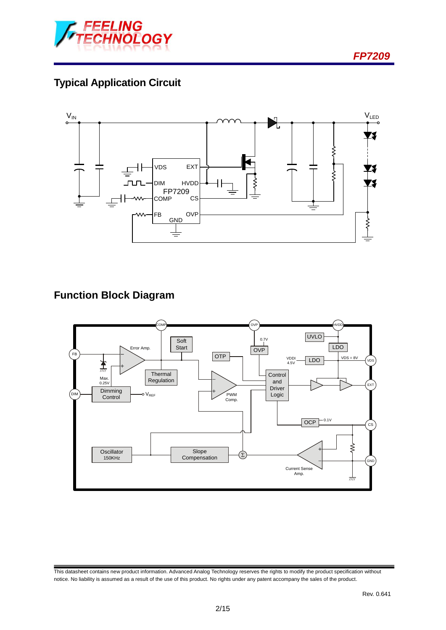

# **Typical Application Circuit**



# **Function Block Diagram**



This datasheet contains new product information. Advanced Analog Technology reserves the rights to modify the product specification without notice. No liability is assumed as a result of the use of this product. No rights under any patent accompany the sales of the product.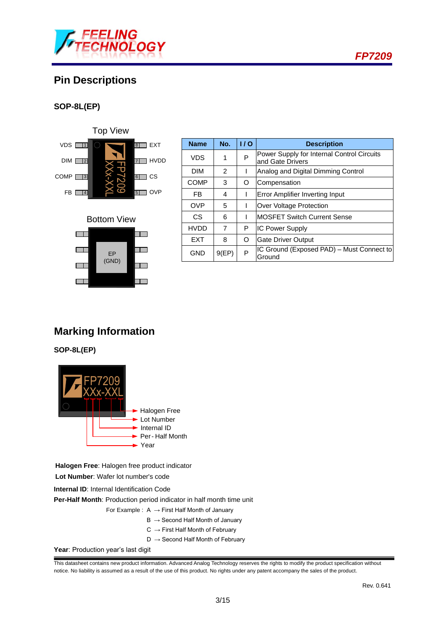

# **Pin Descriptions**

### **SOP-8L(EP)**



### Bottom View



| <b>Name</b> | No.   | 1/0 | <b>Description</b>                                             |
|-------------|-------|-----|----------------------------------------------------------------|
| VDS         | 1     | P   | Power Supply for Internal Control Circuits<br>and Gate Drivers |
| <b>DIM</b>  | 2     |     | Analog and Digital Dimming Control                             |
| <b>COMP</b> | 3     | O   | Compensation                                                   |
| FB          | 4     |     | Error Amplifier Inverting Input                                |
| <b>OVP</b>  | 5     |     | Over Voltage Protection                                        |
| CS          | 6     |     | <b>MOSFET Switch Current Sense</b>                             |
| <b>HVDD</b> | 7     | P   | <b>IC Power Supply</b>                                         |
| <b>FXT</b>  | 8     | O   | <b>Gate Driver Output</b>                                      |
| <b>GND</b>  | 9(EP) | P   | IC Ground (Exposed PAD) - Must Connect to<br>Ground            |

# **Marking Information**

**SOP-8L(EP)**



**Halogen Free**: Halogen free product indicator

**Lot Number**: Wafer lot number's code

**Internal ID**: Internal Identification Code

**Per-Half Month**: Production period indicator in half month time unit

- For Example :  $A \rightarrow$  First Half Month of January
	- $B \rightarrow$  Second Half Month of January
	- $C \rightarrow$  First Half Month of February
	- $D \rightarrow$  Second Half Month of February

Year: Production year's last digit

This datasheet contains new product information. Advanced Analog Technology reserves the rights to modify the product specification without notice. No liability is assumed as a result of the use of this product. No rights under any patent accompany the sales of the product.

*FP7209*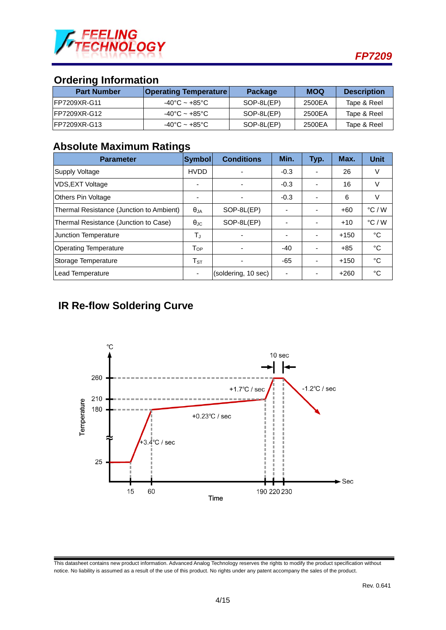

## **Ordering Information**

| <b>Part Number</b>   | <b>Operating Temperature</b> | <b>Package</b> | MOQ    | <b>Description</b> |
|----------------------|------------------------------|----------------|--------|--------------------|
| IFP7209XR-G11        | -40°C ~ +85°C                | SOP-8L(EP)     | 2500EA | Tape & Reel        |
| <b>IFP7209XR-G12</b> | -40°C ~ +85°C                | SOP-8L(EP)     | 2500EA | Tape & Reel        |
| <b>IFP7209XR-G13</b> | -40°C ~ +85°C                | SOP-8L(EP)     | 2500EA | Tape & Reel        |

### **Absolute Maximum Ratings**

| <b>Parameter</b>                         | Symbol                     | <b>Conditions</b>   | Min.                     | Typ.                     | Max.   | <b>Unit</b>     |
|------------------------------------------|----------------------------|---------------------|--------------------------|--------------------------|--------|-----------------|
| <b>Supply Voltage</b>                    | <b>HVDD</b>                |                     | $-0.3$                   |                          | 26     | V               |
| <b>VDS, EXT Voltage</b>                  |                            |                     | $-0.3$                   |                          | 16     | V               |
| <b>Others Pin Voltage</b>                |                            |                     | $-0.3$                   |                          | 6      | V               |
| Thermal Resistance (Junction to Ambient) | $\theta_{JA}$              | SOP-8L(EP)          | ۰                        |                          | $+60$  | $\degree$ C / W |
| Thermal Resistance (Junction to Case)    | $\theta_{\rm JC}$          | SOP-8L(EP)          | $\overline{\phantom{a}}$ | $\overline{\phantom{a}}$ | $+10$  | $\degree$ C / W |
| <b>Junction Temperature</b>              | $T_J$                      |                     | ۰                        |                          | $+150$ | °C              |
| <b>Operating Temperature</b>             | $\mathsf{T}_{\mathsf{OP}}$ |                     | $-40$                    |                          | $+85$  | °C              |
| Storage Temperature                      | ${\sf T}_{\tt ST}$         |                     | $-65$                    |                          | $+150$ | °C              |
| Lead Temperature                         |                            | (soldering, 10 sec) | $\overline{\phantom{a}}$ |                          | $+260$ | °C              |

## **IR Re-flow Soldering Curve**



This datasheet contains new product information. Advanced Analog Technology reserves the rights to modify the product specification without notice. No liability is assumed as a result of the use of this product. No rights under any patent accompany the sales of the product.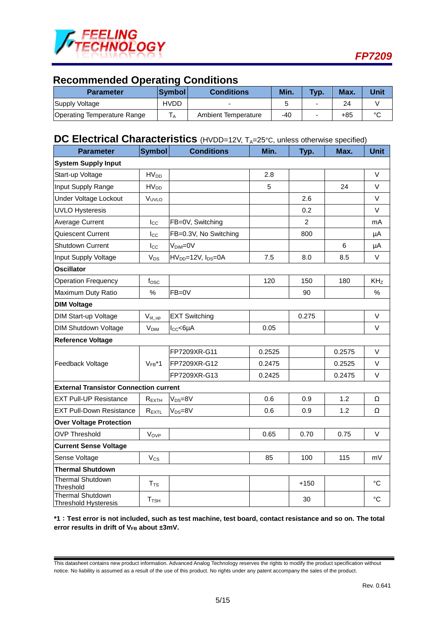

## **Recommended Operating Conditions**

| Parameter                   | <b>Symbol</b>  | <b>Conditions</b>          | Min. | Typ. | Max. | <b>Unit</b> |
|-----------------------------|----------------|----------------------------|------|------|------|-------------|
| Supply Voltage              | HVDD           | $\overline{\phantom{0}}$   |      |      | 24   |             |
| Operating Temperature Range | $\overline{A}$ | <b>Ambient Temperature</b> | -40  |      | +85  | $\sim$      |

## **DC Electrical Characteristics** (HVDD=12V, T<sub>A</sub>=25°C, unless otherwise specified)

| Parameter                                              | <b>Symbol</b>           | <b>Conditions</b>                          | Min.   | Typ.           | Max.   | <b>Unit</b>     |
|--------------------------------------------------------|-------------------------|--------------------------------------------|--------|----------------|--------|-----------------|
| <b>System Supply Input</b>                             |                         |                                            |        |                |        |                 |
| Start-up Voltage                                       | <b>HV<sub>DD</sub></b>  |                                            | 2.8    |                |        | $\vee$          |
| Input Supply Range                                     | HV <sub>DD</sub>        |                                            | 5      |                | 24     | V               |
| Under Voltage Lockout                                  | VUVLO                   |                                            |        | 2.6            |        | $\vee$          |
| <b>UVLO Hysteresis</b>                                 |                         |                                            |        | 0.2            |        | $\vee$          |
| <b>Average Current</b>                                 | $_{\rm lcc}$            | FB=0V, Switching                           |        | $\overline{2}$ |        | mA              |
| Quiescent Current                                      | $I_{\rm CC}$            | FB=0.3V, No Switching                      |        | 800            |        | μA              |
| <b>Shutdown Current</b>                                | $_{\text{Lcc}}$         | $VDIM=0V$                                  |        |                | 6      | μA              |
| Input Supply Voltage                                   | <b>V<sub>DS</sub></b>   | HV <sub>DD</sub> =12V, I <sub>DS</sub> =0A | 7.5    | 8.0            | 8.5    | $\vee$          |
| <b>Oscillator</b>                                      |                         |                                            |        |                |        |                 |
| <b>Operation Frequency</b>                             | $f_{\rm{OSC}}$          |                                            | 120    | 150            | 180    | KH <sub>z</sub> |
| Maximum Duty Ratio                                     | $\%$                    | $FB=0V$                                    |        | 90             |        | $\%$            |
| <b>DIM Voltage</b>                                     |                         |                                            |        |                |        |                 |
| <b>DIM Start-up Voltage</b>                            | $V_{st\_up}$            | <b>EXT Switching</b>                       |        | 0.275          |        | $\vee$          |
| <b>DIM Shutdown Voltage</b>                            | <b>V<sub>DIM</sub></b>  | $I_{CC}$ <6µA                              | 0.05   |                |        | V               |
| <b>Reference Voltage</b>                               |                         |                                            |        |                |        |                 |
|                                                        |                         | FP7209XR-G11                               | 0.2525 |                | 0.2575 | V               |
| Feedback Voltage                                       | $V_{FB}$ *1             | FP7209XR-G12                               | 0.2475 |                | 0.2525 | $\vee$          |
|                                                        |                         | FP7209XR-G13                               | 0.2425 |                | 0.2475 | V               |
| <b>External Transistor Connection current</b>          |                         |                                            |        |                |        |                 |
| <b>EXT Pull-UP Resistance</b>                          | $R_{EXTH}$              | $V_{DS}=8V$                                | 0.6    | 0.9            | 1.2    | Ω               |
| <b>EXT Pull-Down Resistance</b>                        | $R_{EXTL}$              | $V_{DS}=8V$                                | 0.6    | 0.9            | 1.2    | Ω               |
| <b>Over Voltage Protection</b>                         |                         |                                            |        |                |        |                 |
| <b>OVP Threshold</b>                                   | Vove                    |                                            | 0.65   | 0.70           | 0.75   | $\vee$          |
| <b>Current Sense Voltage</b>                           |                         |                                            |        |                |        |                 |
| Sense Voltage                                          | Vcs                     |                                            | 85     | 100            | 115    | mV              |
| <b>Thermal Shutdown</b>                                |                         |                                            |        |                |        |                 |
| <b>Thermal Shutdown</b><br>Threshold                   | T <sub>TS</sub>         |                                            |        | $+150$         |        | °C              |
| <b>Thermal Shutdown</b><br><b>Threshold Hysteresis</b> | <b>T</b> <sub>TSH</sub> |                                            |        | 30             |        | $\rm ^{\circ}C$ |

**\*1**︰**Test error is not included, such as test machine, test board, contact resistance and so on. The total error results in drift of V<sub>FB</sub> about ±3mV.** 

This datasheet contains new product information. Advanced Analog Technology reserves the rights to modify the product specification without notice. No liability is assumed as a result of the use of this product. No rights under any patent accompany the sales of the product.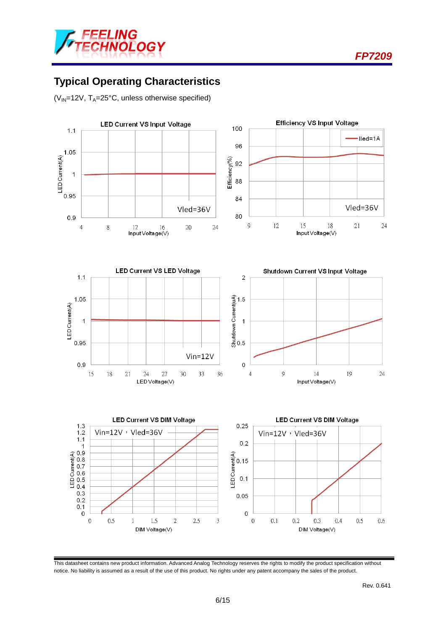



# **Typical Operating Characteristics**

( $V_{IN}$ =12V, T<sub>A</sub>=25°C, unless otherwise specified)



This datasheet contains new product information. Advanced Analog Technology reserves the rights to modify the product specification without notice. No liability is assumed as a result of the use of this product. No rights under any patent accompany the sales of the product.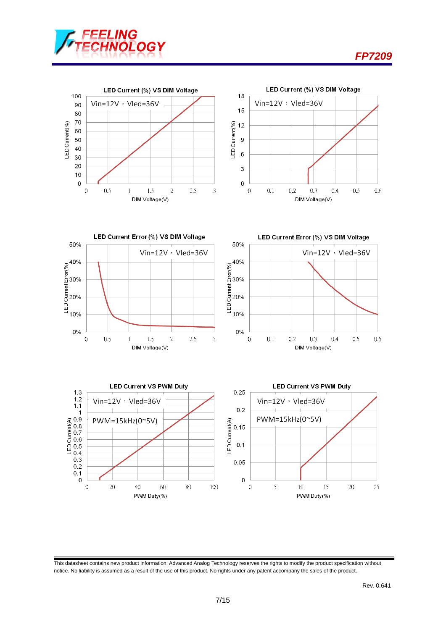











This datasheet contains new product information. Advanced Analog Technology reserves the rights to modify the product specification without notice. No liability is assumed as a result of the use of this product. No rights under any patent accompany the sales of the product.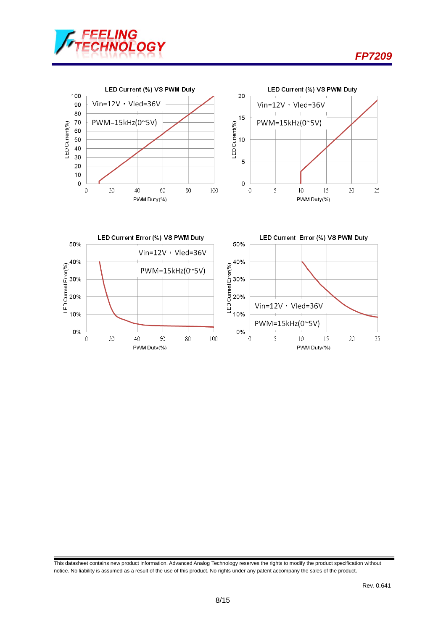









This datasheet contains new product information. Advanced Analog Technology reserves the rights to modify the product specification without notice. No liability is assumed as a result of the use of this product. No rights under any patent accompany the sales of the product.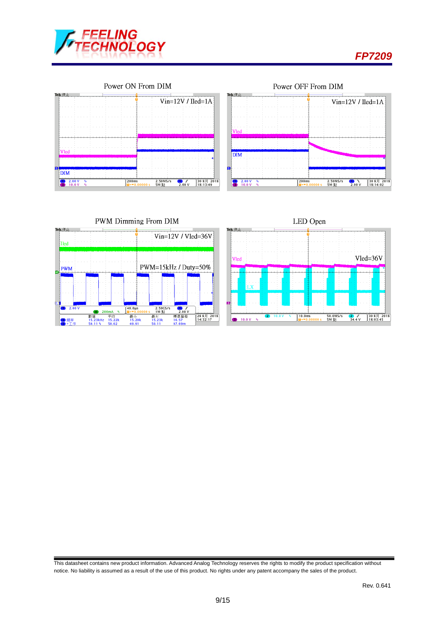







This datasheet contains new product information. Advanced Analog Technology reserves the rights to modify the product specification without notice. No liability is assumed as a result of the use of this product. No rights under any patent accompany the sales of the product.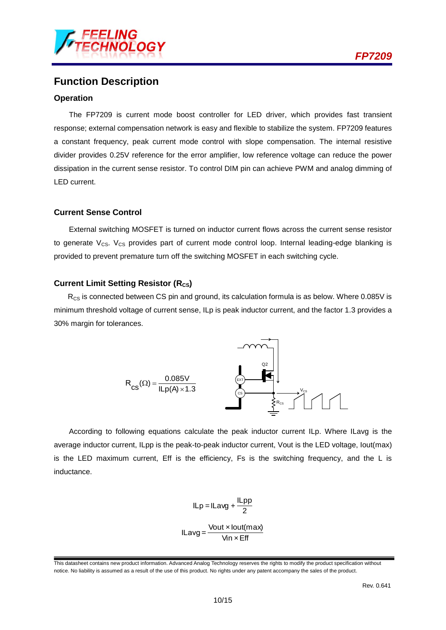

### **Function Description**

#### **Operation**

The FP7209 is current mode boost controller for LED driver, which provides fast transient response; external compensation network is easy and flexible to stabilize the system. FP7209 features a constant frequency, peak current mode control with slope compensation. The internal resistive divider provides 0.25V reference for the error amplifier, low reference voltage can reduce the power dissipation in the current sense resistor. To control DIM pin can achieve PWM and analog dimming of LED current.

#### **Current Sense Control**

External switching MOSFET is turned on inductor current flows across the current sense resistor to generate  $V_{CS}$ .  $V_{CS}$  provides part of current mode control loop. Internal leading-edge blanking is provided to prevent premature turn off the switching MOSFET in each switching cycle.

#### **Current Limit Setting Resistor (R<sub>CS</sub>)**

 $R_{CS}$  is connected between CS pin and ground, its calculation formula is as below. Where 0.085V is minimum threshold voltage of current sense, ILp is peak inductor current, and the factor 1.3 provides a 30% margin for tolerances.



According to following equations calculate the peak inductor current ILp. Where ILavg is the average inductor current, ILpp is the peak-to-peak inductor current, Vout is the LED voltage, Iout(max) is the LED maximum current, Eff is the efficiency, Fs is the switching frequency, and the L is inductance.

$$
ILp = ILavg + \frac{ILpp}{2}
$$

$$
ILavg = \frac{Vout \times lout(max)}{Vin \times Eff}
$$

This datasheet contains new product information. Advanced Analog Technology reserves the rights to modify the product specification without notice. No liability is assumed as a result of the use of this product. No rights under any patent accompany the sales of the product.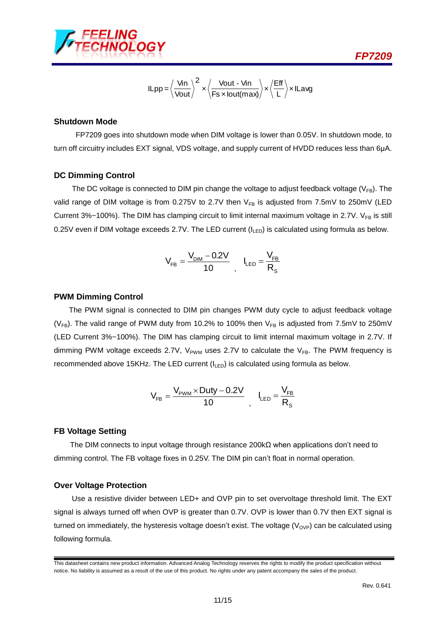

$$
I Lpp = \left\langle \frac{V_{in}}{V_{out}} \right\rangle^{2} \times \left\langle \frac{V_{out} - V_{in}}{Fs \times lout(max)} \right\rangle \times \left\langle \frac{Eff}{L} \right\rangle \times I Lavg
$$

#### **Shutdown Mode**

FP7209 goes into shutdown mode when DIM voltage is lower than 0.05V. In shutdown mode, to turn off circuitry includes EXT signal, VDS voltage, and supply current of HVDD reduces less than 6μA.

#### **DC Dimming Control**

The DC voltage is connected to DIM pin change the voltage to adjust feedback voltage ( $V_{FB}$ ). The valid range of DIM voltage is from 0.275V to 2.7V then  $V_{FB}$  is adjusted from 7.5mV to 250mV (LED Current 3%~100%). The DIM has clamping circuit to limit internal maximum voltage in 2.7V.  $V_{FB}$  is still 0.25V even if DIM voltage exceeds 2.7V. The LED current (ILED) is calculated using formula as below.

$$
V_{FB} = \frac{V_{DM} - 0.2V}{10} \ , \ \ I_{LED} = \frac{V_{FB}}{R_s}
$$

#### **PWM Dimming Control**

1.14 The DIM pin can't float or origins to make the visible original original original original original original original original original original original original original original original original original origina The PWM signal is connected to DIM pin changes PWM duty cycle to adjust feedback voltage ( $V_{FB}$ ). The valid range of PWM duty from 10.2% to 100% then  $V_{FB}$  is adjusted from 7.5mV to 250mV (LED Current 3%~100%). The DIM has clamping circuit to limit internal maximum voltage in 2.7V. If dimming PWM voltage exceeds 2.7V,  $V_{PWM}$  uses 2.7V to calculate the  $V_{FB}$ . The PWM frequency is recommended above 15KHz. The LED current  $(I_{LED})$  is calculated using formula as below.

$$
V_{\text{FB}} = \frac{V_{\text{PWM}}\times \text{Duty} - 0.2V}{10} \ , \quad I_{\text{LED}} = \frac{V_{\text{FB}}}{R_s}
$$

#### **FB Voltage Setting**

The DIM connects to input voltage through resistance 200kΩ when applications don't need to dimming control. The FB voltage fixes in 0.25V. The DIM pin can't float in normal operation.

#### **Over Voltage Protection**

Use a resistive divider between LED+ and OVP pin to set overvoltage threshold limit. The EXT signal is always turned off when OVP is greater than 0.7V. OVP is lower than 0.7V then EXT signal is turned on immediately, the hysteresis voltage doesn't exist. The voltage ( $V_{OVP}$ ) can be calculated using following formula.

This datasheet contains new product information. Advanced Analog Technology reserves the rights to modify the product specification without notice. No liability is assumed as a result of the use of this product. No rights under any patent accompany the sales of the product.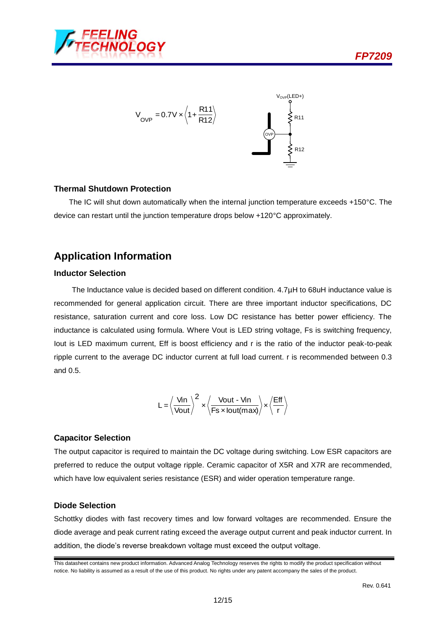



#### **Thermal Shutdown Protection**

The IC will shut down automatically when the internal junction temperature exceeds +150°C. The device can restart until the junction temperature drops below +120°C approximately.

### **Application Information**

#### **Inductor Selection**

The Inductance value is decided based on different condition. 4.7µH to 68uH inductance value is recommended for general application circuit. There are three important inductor specifications, DC resistance, saturation current and core loss. Low DC resistance has better power efficiency. The inductance is calculated using formula. Where Vout is LED string voltage, Fs is switching frequency, Iout is LED maximum current, Eff is boost efficiency and r is the ratio of the inductor peak-to-peak ripple current to the average DC inductor current at full load current. r is recommended between 0.3 and 0.5.

$$
L = \left\langle \frac{\text{Vin}}{\text{Vout}} \right\rangle^2 \times \left\langle \frac{\text{Vout - Vin}}{\text{Fs} \times \text{Iout}(\text{max})} \right\rangle \times \left\langle \frac{\text{Eff}}{\text{r}} \right\rangle
$$

#### **Capacitor Selection**

The output capacitor is required to maintain the DC voltage during switching. Low ESR capacitors are preferred to reduce the output voltage ripple. Ceramic capacitor of X5R and X7R are recommended, which have low equivalent series resistance (ESR) and wider operation temperature range.

#### **Diode Selection**

Schottky diodes with fast recovery times and low forward voltages are recommended. Ensure the diode average and peak current rating exceed the average output current and peak inductor current. In addition, the diode's reverse breakdown voltage must exceed the output voltage.

This datasheet contains new product information. Advanced Analog Technology reserves the rights to modify the product specification without notice. No liability is assumed as a result of the use of this product. No rights under any patent accompany the sales of the product.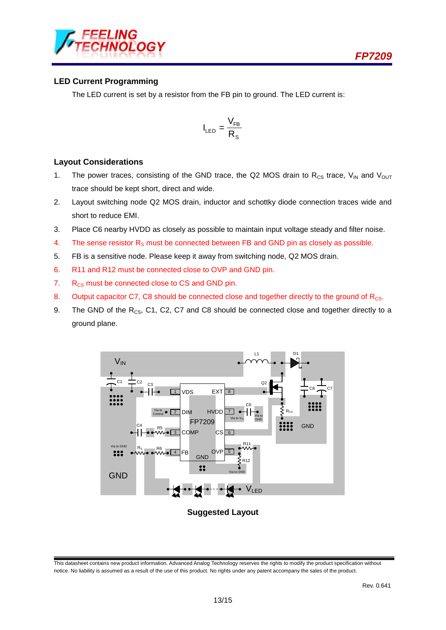



#### **LED Current Programming**

The LED current is set by a resistor from the FB pin to ground. The LED current is:

$$
I_{LED} = \frac{V_{FB}}{R_s}
$$

#### **Layout Considerations**

- 1. The power traces, consisting of the GND trace, the Q2 MOS drain to  $R_{CS}$  trace,  $V_{IN}$  and  $V_{OUT}$ trace should be kept short, direct and wide.
- 2. Layout switching node Q2 MOS drain, inductor and schottky diode connection traces wide and short to reduce EMI.
- 3. Place C6 nearby HVDD as closely as possible to maintain input voltage steady and filter noise.
- 4. The sense resistor  $R_s$  must be connected between FB and GND pin as closely as possible.
- 5. FB is a sensitive node. Please keep it away from switching node, Q2 MOS drain.
- 6. R11 and R12 must be connected close to OVP and GND pin.
- 7.  $R_{CS}$  must be connected close to CS and GND pin.
- 8. Output capacitor C7, C8 should be connected close and together directly to the ground of R<sub>CS</sub>.
- 9. The GND of the  $R_{CS}$ , C1, C2, C7 and C8 should be connected close and together directly to a ground plane.



**Suggested Layout**

This datasheet contains new product information. Advanced Analog Technology reserves the rights to modify the product specification without notice. No liability is assumed as a result of the use of this product. No rights under any patent accompany the sales of the product.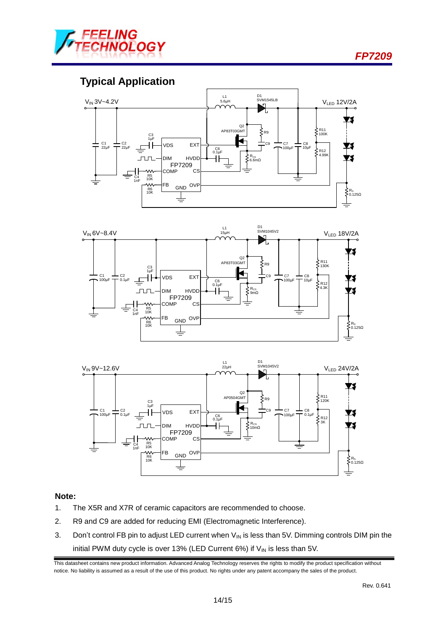



# **Typical Application**







#### **Note:**

- 1. The X5R and X7R of ceramic capacitors are recommended to choose.
- 2. R9 and C9 are added for reducing EMI (Electromagnetic Interference).
- 3. Don't control FB pin to adjust LED current when  $V_{\text{IN}}$  is less than 5V. Dimming controls DIM pin the initial PWM duty cycle is over 13% (LED Current 6%) if  $V_{\text{IN}}$  is less than 5V.

This datasheet contains new product information. Advanced Analog Technology reserves the rights to modify the product specification without notice. No liability is assumed as a result of the use of this product. No rights under any patent accompany the sales of the product.